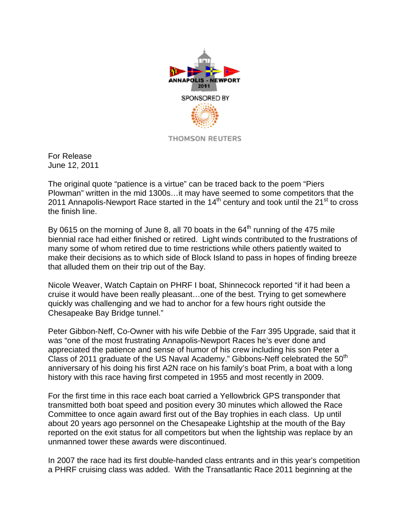

For Release June 12, 2011

The original quote "patience is a virtue" can be traced back to the poem "Piers Plowman" written in the mid 1300s…it may have seemed to some competitors that the 2011 Annapolis-Newport Race started in the  $14<sup>th</sup>$  century and took until the 21<sup>st</sup> to cross the finish line.

By 0615 on the morning of June 8, all 70 boats in the  $64<sup>th</sup>$  running of the 475 mile biennial race had either finished or retired. Light winds contributed to the frustrations of many some of whom retired due to time restrictions while others patiently waited to make their decisions as to which side of Block Island to pass in hopes of finding breeze that alluded them on their trip out of the Bay.

Nicole Weaver, Watch Captain on PHRF I boat, Shinnecock reported "if it had been a cruise it would have been really pleasant…one of the best. Trying to get somewhere quickly was challenging and we had to anchor for a few hours right outside the Chesapeake Bay Bridge tunnel."

Peter Gibbon-Neff, Co-Owner with his wife Debbie of the Farr 395 Upgrade, said that it was "one of the most frustrating Annapolis-Newport Races he's ever done and appreciated the patience and sense of humor of his crew including his son Peter a Class of 2011 graduate of the US Naval Academy." Gibbons-Neff celebrated the 50<sup>th</sup> anniversary of his doing his first A2N race on his family's boat Prim, a boat with a long history with this race having first competed in 1955 and most recently in 2009.

For the first time in this race each boat carried a Yellowbrick GPS transponder that transmitted both boat speed and position every 30 minutes which allowed the Race Committee to once again award first out of the Bay trophies in each class. Up until about 20 years ago personnel on the Chesapeake Lightship at the mouth of the Bay reported on the exit status for all competitors but when the lightship was replace by an unmanned tower these awards were discontinued.

In 2007 the race had its first double-handed class entrants and in this year's competition a PHRF cruising class was added. With the Transatlantic Race 2011 beginning at the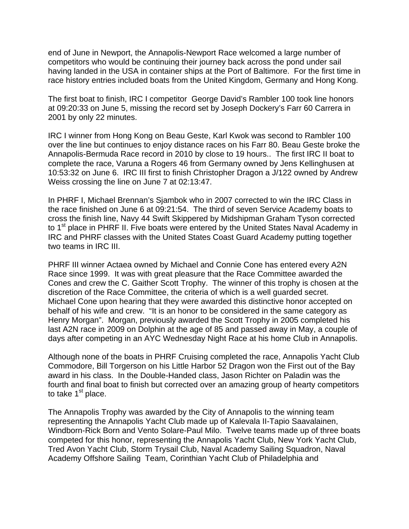end of June in Newport, the Annapolis-Newport Race welcomed a large number of competitors who would be continuing their journey back across the pond under sail having landed in the USA in container ships at the Port of Baltimore. For the first time in race history entries included boats from the United Kingdom, Germany and Hong Kong.

The first boat to finish, IRC I competitor George David's Rambler 100 took line honors at 09:20:33 on June 5, missing the record set by Joseph Dockery's Farr 60 Carrera in 2001 by only 22 minutes.

IRC I winner from Hong Kong on Beau Geste, Karl Kwok was second to Rambler 100 over the line but continues to enjoy distance races on his Farr 80. Beau Geste broke the Annapolis-Bermuda Race record in 2010 by close to 19 hours.. The first IRC II boat to complete the race, Varuna a Rogers 46 from Germany owned by Jens Kellinghusen at 10:53:32 on June 6. IRC III first to finish Christopher Dragon a J/122 owned by Andrew Weiss crossing the line on June 7 at 02:13:47.

In PHRF I, Michael Brennan's Sjambok who in 2007 corrected to win the IRC Class in the race finished on June 6 at 09:21:54. The third of seven Service Academy boats to cross the finish line, Navy 44 Swift Skippered by Midshipman Graham Tyson corrected to 1<sup>st</sup> place in PHRF II. Five boats were entered by the United States Naval Academy in IRC and PHRF classes with the United States Coast Guard Academy putting together two teams in IRC III.

PHRF III winner Actaea owned by Michael and Connie Cone has entered every A2N Race since 1999. It was with great pleasure that the Race Committee awarded the Cones and crew the C. Gaither Scott Trophy. The winner of this trophy is chosen at the discretion of the Race Committee, the criteria of which is a well guarded secret. Michael Cone upon hearing that they were awarded this distinctive honor accepted on behalf of his wife and crew. "It is an honor to be considered in the same category as Henry Morgan". Morgan, previously awarded the Scott Trophy in 2005 completed his last A2N race in 2009 on Dolphin at the age of 85 and passed away in May, a couple of days after competing in an AYC Wednesday Night Race at his home Club in Annapolis.

Although none of the boats in PHRF Cruising completed the race, Annapolis Yacht Club Commodore, Bill Torgerson on his Little Harbor 52 Dragon won the First out of the Bay award in his class. In the Double-Handed class, Jason Richter on Paladin was the fourth and final boat to finish but corrected over an amazing group of hearty competitors to take  $1<sup>st</sup>$  place.

The Annapolis Trophy was awarded by the City of Annapolis to the winning team representing the Annapolis Yacht Club made up of Kalevala II-Tapio Saavalainen, Windborn-Rick Born and Vento Solare-Paul Milo. Twelve teams made up of three boats competed for this honor, representing the Annapolis Yacht Club, New York Yacht Club, Tred Avon Yacht Club, Storm Trysail Club, Naval Academy Sailing Squadron, Naval Academy Offshore Sailing Team, Corinthian Yacht Club of Philadelphia and